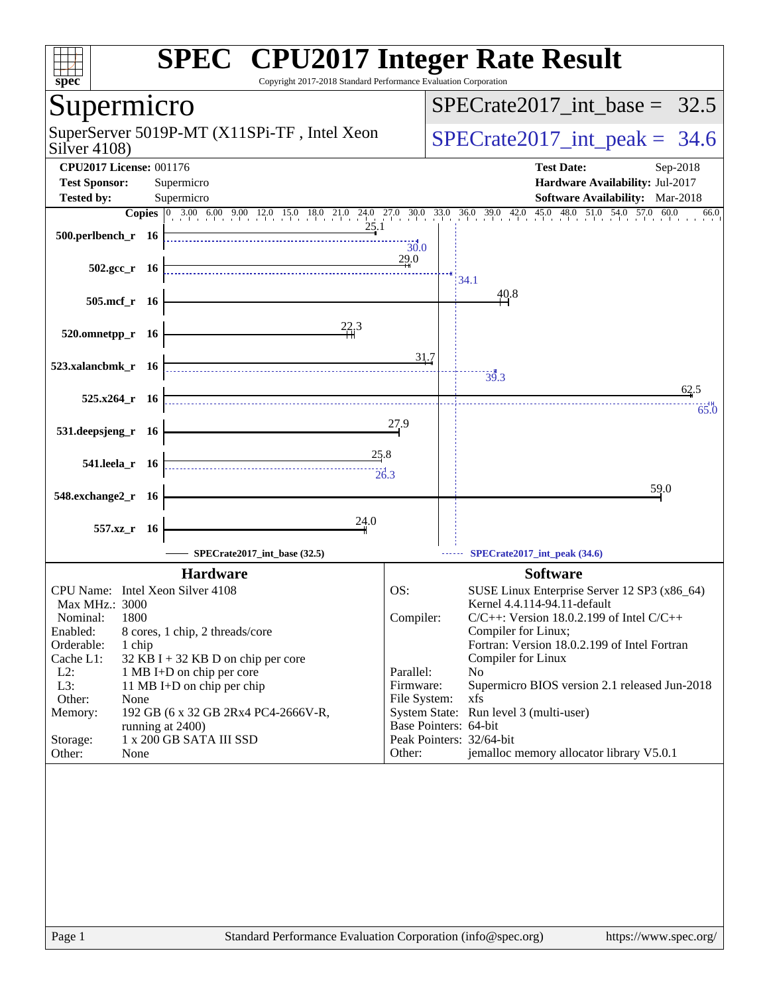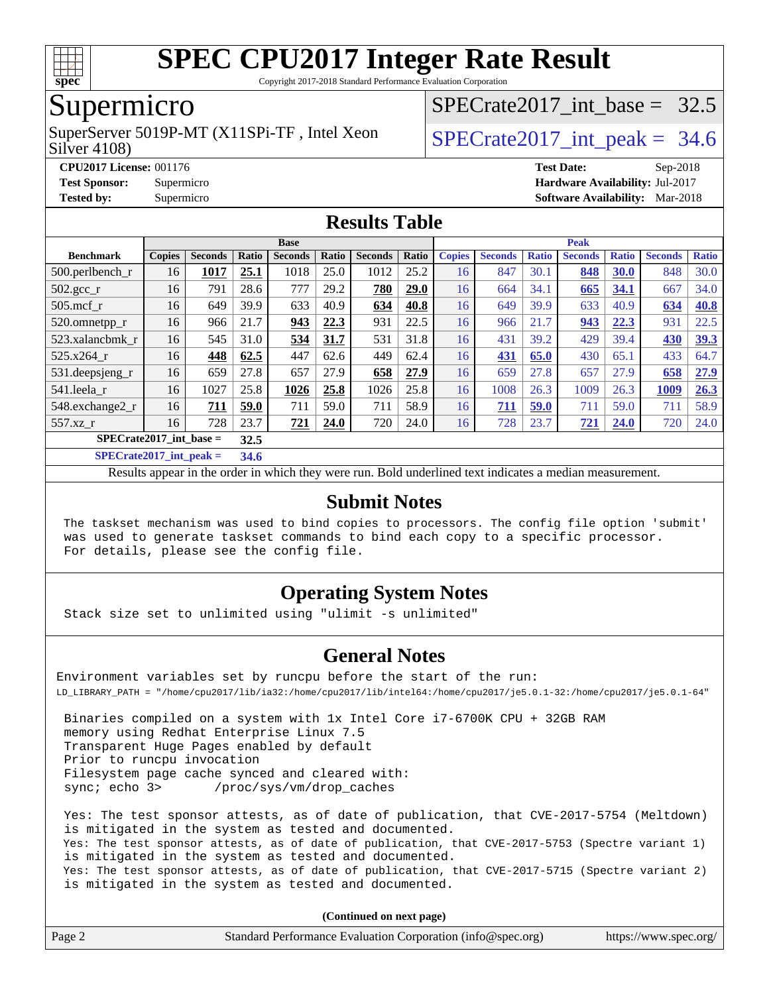

Copyright 2017-2018 Standard Performance Evaluation Corporation

## Supermicro

Silver 4108) SuperServer 5019P-MT (X11SPi-TF, Intel Xeon  $S^{2}$  SPECrate 2017 int peak = 34.6

SPECrate2017 int\_base =  $32.5$ 

**[CPU2017 License:](http://www.spec.org/auto/cpu2017/Docs/result-fields.html#CPU2017License)** 001176 **[Test Date:](http://www.spec.org/auto/cpu2017/Docs/result-fields.html#TestDate)** Sep-2018 **[Test Sponsor:](http://www.spec.org/auto/cpu2017/Docs/result-fields.html#TestSponsor)** Supermicro **[Hardware Availability:](http://www.spec.org/auto/cpu2017/Docs/result-fields.html#HardwareAvailability)** Jul-2017 **[Tested by:](http://www.spec.org/auto/cpu2017/Docs/result-fields.html#Testedby)** Supermicro **[Software Availability:](http://www.spec.org/auto/cpu2017/Docs/result-fields.html#SoftwareAvailability)** Mar-2018

### **[Results Table](http://www.spec.org/auto/cpu2017/Docs/result-fields.html#ResultsTable)**

|                                    |               |                |       | <b>Base</b>             |      |                | <b>Peak</b> |    |                |              |                |              |                |              |
|------------------------------------|---------------|----------------|-------|-------------------------|------|----------------|-------------|----|----------------|--------------|----------------|--------------|----------------|--------------|
| <b>Benchmark</b>                   | <b>Copies</b> | <b>Seconds</b> | Ratio | Ratio<br><b>Seconds</b> |      | <b>Seconds</b> | Ratio       |    | <b>Seconds</b> | <b>Ratio</b> | <b>Seconds</b> | <b>Ratio</b> | <b>Seconds</b> | <b>Ratio</b> |
| 500.perlbench_r                    | 16            | 1017           | 25.1  | 1018                    | 25.0 | 1012           | 25.2        | 16 | 847            | 30.1         | 848            | 30.0         | 848            | 30.0         |
| $502.\text{gcc}$ _r                | 16            | 791            | 28.6  | 777                     | 29.2 | 780            | 29.0        | 16 | 664            | 34.1         | 665            | 34.1         | 667            | 34.0         |
| $505$ .mcf r                       | 16            | 649            | 39.9  | 633                     | 40.9 | 634            | 40.8        | 16 | 649            | 39.9         | 633            | 40.9         | 634            | 40.8         |
| 520.omnetpp_r                      | 16            | 966            | 21.7  | 943                     | 22.3 | 931            | 22.5        | 16 | 966            | 21.7         | 943            | 22.3         | 931            | 22.5         |
| 523.xalancbmk r                    | 16            | 545            | 31.0  | 534                     | 31.7 | 531            | 31.8        | 16 | 431            | 39.2         | 429            | 39.4         | 430            | 39.3         |
| 525.x264 r                         | 16            | 448            | 62.5  | 447                     | 62.6 | 449            | 62.4        | 16 | 431            | 65.0         | 430            | 65.1         | 433            | 64.7         |
| 531.deepsjeng_r                    | 16            | 659            | 27.8  | 657                     | 27.9 | 658            | 27.9        | 16 | 659            | 27.8         | 657            | 27.9         | 658            | 27.9         |
| 541.leela_r                        | 16            | 1027           | 25.8  | 1026                    | 25.8 | 1026           | 25.8        | 16 | 1008           | 26.3         | 1009           | 26.3         | 1009           | 26.3         |
| 548.exchange2_r                    | 16            | 711            | 59.0  | 711                     | 59.0 | 711            | 58.9        | 16 | 711            | 59.0         | 711            | 59.0         | 711            | 58.9         |
| 557.xz r                           | 16            | 728            | 23.7  | 721                     | 24.0 | 720            | 24.0        | 16 | 728            | 23.7         | 721            | 24.0         | 720            | 24.0         |
| $SPECrate2017$ int base =          |               |                | 32.5  |                         |      |                |             |    |                |              |                |              |                |              |
| $C1$ $A0$ $A2$ $A3$ $A4$ $A5$ $A6$ | $\sim$ $\sim$ |                |       |                         |      |                |             |    |                |              |                |              |                |              |

**[SPECrate2017\\_int\\_peak =](http://www.spec.org/auto/cpu2017/Docs/result-fields.html#SPECrate2017intpeak) 34.6**

Results appear in the [order in which they were run](http://www.spec.org/auto/cpu2017/Docs/result-fields.html#RunOrder). Bold underlined text [indicates a median measurement](http://www.spec.org/auto/cpu2017/Docs/result-fields.html#Median).

#### **[Submit Notes](http://www.spec.org/auto/cpu2017/Docs/result-fields.html#SubmitNotes)**

 The taskset mechanism was used to bind copies to processors. The config file option 'submit' was used to generate taskset commands to bind each copy to a specific processor. For details, please see the config file.

### **[Operating System Notes](http://www.spec.org/auto/cpu2017/Docs/result-fields.html#OperatingSystemNotes)**

Stack size set to unlimited using "ulimit -s unlimited"

#### **[General Notes](http://www.spec.org/auto/cpu2017/Docs/result-fields.html#GeneralNotes)**

Environment variables set by runcpu before the start of the run: LD\_LIBRARY\_PATH = "/home/cpu2017/lib/ia32:/home/cpu2017/lib/intel64:/home/cpu2017/je5.0.1-32:/home/cpu2017/je5.0.1-64"

 Binaries compiled on a system with 1x Intel Core i7-6700K CPU + 32GB RAM memory using Redhat Enterprise Linux 7.5 Transparent Huge Pages enabled by default Prior to runcpu invocation Filesystem page cache synced and cleared with: sync; echo 3> /proc/sys/vm/drop\_caches

 Yes: The test sponsor attests, as of date of publication, that CVE-2017-5754 (Meltdown) is mitigated in the system as tested and documented. Yes: The test sponsor attests, as of date of publication, that CVE-2017-5753 (Spectre variant 1) is mitigated in the system as tested and documented. Yes: The test sponsor attests, as of date of publication, that CVE-2017-5715 (Spectre variant 2) is mitigated in the system as tested and documented.

**(Continued on next page)**

| Page 2<br>Standard Performance Evaluation Corporation (info@spec.org)<br>https://www.spec.org/ |
|------------------------------------------------------------------------------------------------|
|------------------------------------------------------------------------------------------------|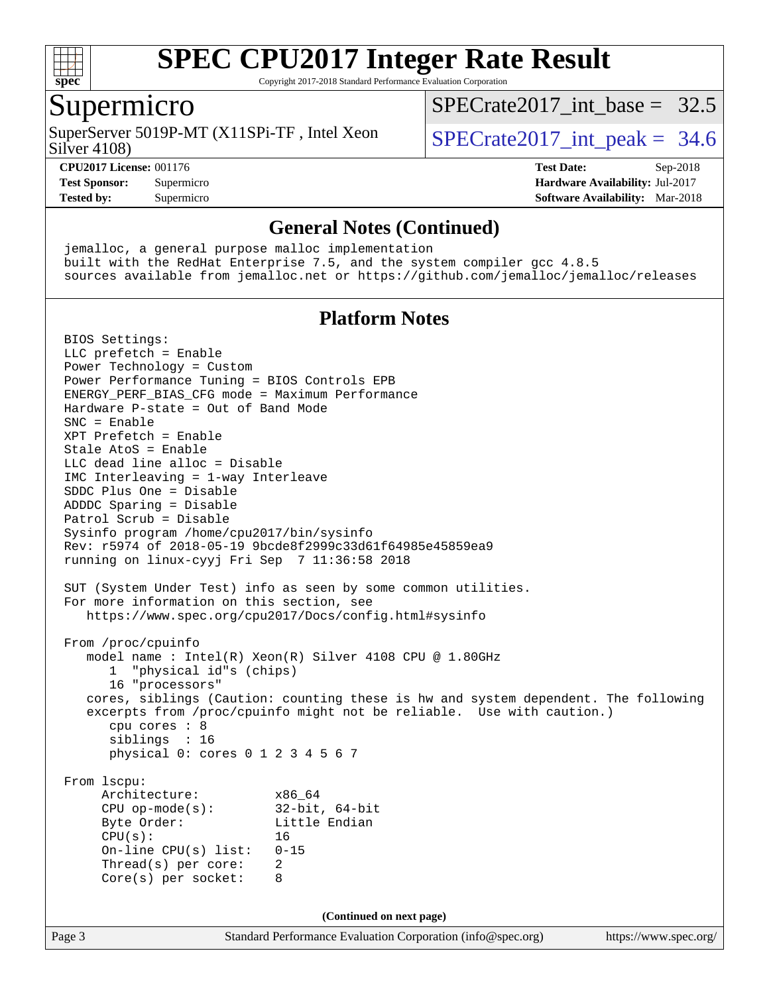

Copyright 2017-2018 Standard Performance Evaluation Corporation

### Supermicro

Silver 4108) SuperServer 5019P-MT (X11SPi-TF, Intel Xeon  $S^{2}$  SPECrate 2017 int peak = 34.6

[SPECrate2017\\_int\\_base =](http://www.spec.org/auto/cpu2017/Docs/result-fields.html#SPECrate2017intbase) 32.5

**[Tested by:](http://www.spec.org/auto/cpu2017/Docs/result-fields.html#Testedby)** Supermicro **[Software Availability:](http://www.spec.org/auto/cpu2017/Docs/result-fields.html#SoftwareAvailability)** Mar-2018

**[CPU2017 License:](http://www.spec.org/auto/cpu2017/Docs/result-fields.html#CPU2017License)** 001176 **[Test Date:](http://www.spec.org/auto/cpu2017/Docs/result-fields.html#TestDate)** Sep-2018 **[Test Sponsor:](http://www.spec.org/auto/cpu2017/Docs/result-fields.html#TestSponsor)** Supermicro **[Hardware Availability:](http://www.spec.org/auto/cpu2017/Docs/result-fields.html#HardwareAvailability)** Jul-2017

#### **[General Notes \(Continued\)](http://www.spec.org/auto/cpu2017/Docs/result-fields.html#GeneralNotes)**

 jemalloc, a general purpose malloc implementation built with the RedHat Enterprise 7.5, and the system compiler gcc 4.8.5 sources available from jemalloc.net or <https://github.com/jemalloc/jemalloc/releases>

#### **[Platform Notes](http://www.spec.org/auto/cpu2017/Docs/result-fields.html#PlatformNotes)**

Page 3 Standard Performance Evaluation Corporation [\(info@spec.org\)](mailto:info@spec.org) <https://www.spec.org/> BIOS Settings: LLC prefetch = Enable Power Technology = Custom Power Performance Tuning = BIOS Controls EPB ENERGY\_PERF\_BIAS\_CFG mode = Maximum Performance Hardware P-state = Out of Band Mode SNC = Enable XPT Prefetch = Enable Stale AtoS = Enable LLC dead line alloc = Disable IMC Interleaving = 1-way Interleave SDDC Plus One = Disable ADDDC Sparing = Disable Patrol Scrub = Disable Sysinfo program /home/cpu2017/bin/sysinfo Rev: r5974 of 2018-05-19 9bcde8f2999c33d61f64985e45859ea9 running on linux-cyyj Fri Sep 7 11:36:58 2018 SUT (System Under Test) info as seen by some common utilities. For more information on this section, see <https://www.spec.org/cpu2017/Docs/config.html#sysinfo> From /proc/cpuinfo model name : Intel(R) Xeon(R) Silver 4108 CPU @ 1.80GHz 1 "physical id"s (chips) 16 "processors" cores, siblings (Caution: counting these is hw and system dependent. The following excerpts from /proc/cpuinfo might not be reliable. Use with caution.) cpu cores : 8 siblings : 16 physical 0: cores 0 1 2 3 4 5 6 7 From lscpu: Architecture: x86\_64 CPU op-mode(s): 32-bit, 64-bit Byte Order: Little Endian  $CPU(s):$  16 On-line CPU(s) list: 0-15 Thread(s) per core: 2 Core(s) per socket: 8 **(Continued on next page)**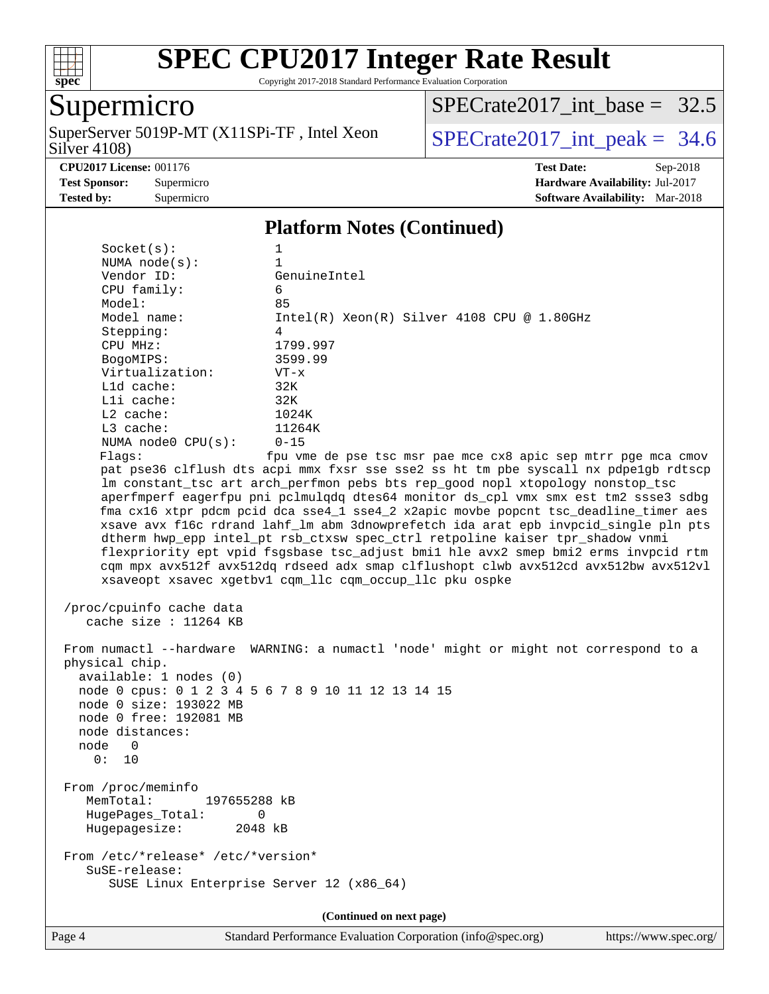

Copyright 2017-2018 Standard Performance Evaluation Corporation

# Supermicro

Silver 4108) SuperServer 5019P-MT (X11SPi-TF, Intel Xeon  $Solve(108)$   $SPECrate2017\_int\_peak = 34.6$ 

[SPECrate2017\\_int\\_base =](http://www.spec.org/auto/cpu2017/Docs/result-fields.html#SPECrate2017intbase) 32.5

#### **[CPU2017 License:](http://www.spec.org/auto/cpu2017/Docs/result-fields.html#CPU2017License)** 001176 **[Test Date:](http://www.spec.org/auto/cpu2017/Docs/result-fields.html#TestDate)** Sep-2018

**[Test Sponsor:](http://www.spec.org/auto/cpu2017/Docs/result-fields.html#TestSponsor)** Supermicro **[Hardware Availability:](http://www.spec.org/auto/cpu2017/Docs/result-fields.html#HardwareAvailability)** Jul-2017 **[Tested by:](http://www.spec.org/auto/cpu2017/Docs/result-fields.html#Testedby)** Supermicro **Supermicro [Software Availability:](http://www.spec.org/auto/cpu2017/Docs/result-fields.html#SoftwareAvailability)** Mar-2018

### **[Platform Notes \(Continued\)](http://www.spec.org/auto/cpu2017/Docs/result-fields.html#PlatformNotes)**

| Socket(s):                               | 1                                                                                    |
|------------------------------------------|--------------------------------------------------------------------------------------|
| NUMA $node(s):$                          | $\mathbf{1}$                                                                         |
| Vendor ID:                               | GenuineIntel                                                                         |
| CPU family:                              | 6<br>85                                                                              |
| Model:                                   |                                                                                      |
| Model name:<br>Stepping:                 | $Intel(R)$ Xeon $(R)$ Silver 4108 CPU @ 1.80GHz<br>4                                 |
| CPU MHz:                                 | 1799.997                                                                             |
| BogoMIPS:                                | 3599.99                                                                              |
| Virtualization:                          | $VT - x$                                                                             |
| L1d cache:                               | 32K                                                                                  |
| Lli cache:                               | 32K                                                                                  |
| $L2$ cache:                              | 1024K                                                                                |
| L3 cache:                                | 11264K                                                                               |
| NUMA node0 CPU(s):                       | $0 - 15$                                                                             |
| Flags:                                   | fpu vme de pse tsc msr pae mce cx8 apic sep mtrr pge mca cmov                        |
|                                          | pat pse36 clflush dts acpi mmx fxsr sse sse2 ss ht tm pbe syscall nx pdpe1gb rdtscp  |
|                                          | lm constant_tsc art arch_perfmon pebs bts rep_good nopl xtopology nonstop_tsc        |
|                                          | aperfmperf eagerfpu pni pclmulqdq dtes64 monitor ds_cpl vmx smx est tm2 ssse3 sdbg   |
|                                          | fma cx16 xtpr pdcm pcid dca sse4_1 sse4_2 x2apic movbe popcnt tsc_deadline_timer aes |
|                                          | xsave avx f16c rdrand lahf_lm abm 3dnowprefetch ida arat epb invpcid_single pln pts  |
|                                          | dtherm hwp_epp intel_pt rsb_ctxsw spec_ctrl retpoline kaiser tpr_shadow vnmi         |
|                                          | flexpriority ept vpid fsgsbase tsc_adjust bmil hle avx2 smep bmi2 erms invpcid rtm   |
|                                          | cqm mpx avx512f avx512dq rdseed adx smap clflushopt clwb avx512cd avx512bw avx512vl  |
|                                          | xsaveopt xsavec xgetbvl cqm_llc cqm_occup_llc pku ospke                              |
| /proc/cpuinfo cache data                 |                                                                                      |
| cache size : $11264$ KB                  |                                                                                      |
|                                          |                                                                                      |
|                                          | From numactl --hardware WARNING: a numactl 'node' might or might not correspond to a |
| physical chip.                           |                                                                                      |
| available: 1 nodes (0)                   |                                                                                      |
|                                          | node 0 cpus: 0 1 2 3 4 5 6 7 8 9 10 11 12 13 14 15                                   |
| node 0 size: 193022 MB                   |                                                                                      |
| node 0 free: 192081 MB                   |                                                                                      |
| node distances:                          |                                                                                      |
| node 0                                   |                                                                                      |
| 0: 10                                    |                                                                                      |
|                                          |                                                                                      |
| From /proc/meminfo                       |                                                                                      |
| MemTotal:<br>197655288 kB                |                                                                                      |
| HugePages_Total:                         | 0                                                                                    |
| Hugepagesize:                            | 2048 kB                                                                              |
| From /etc/*release* /etc/*version*       |                                                                                      |
| SuSE-release:                            |                                                                                      |
| SUSE Linux Enterprise Server 12 (x86_64) |                                                                                      |
|                                          |                                                                                      |
|                                          | (Continued on next page)                                                             |
|                                          |                                                                                      |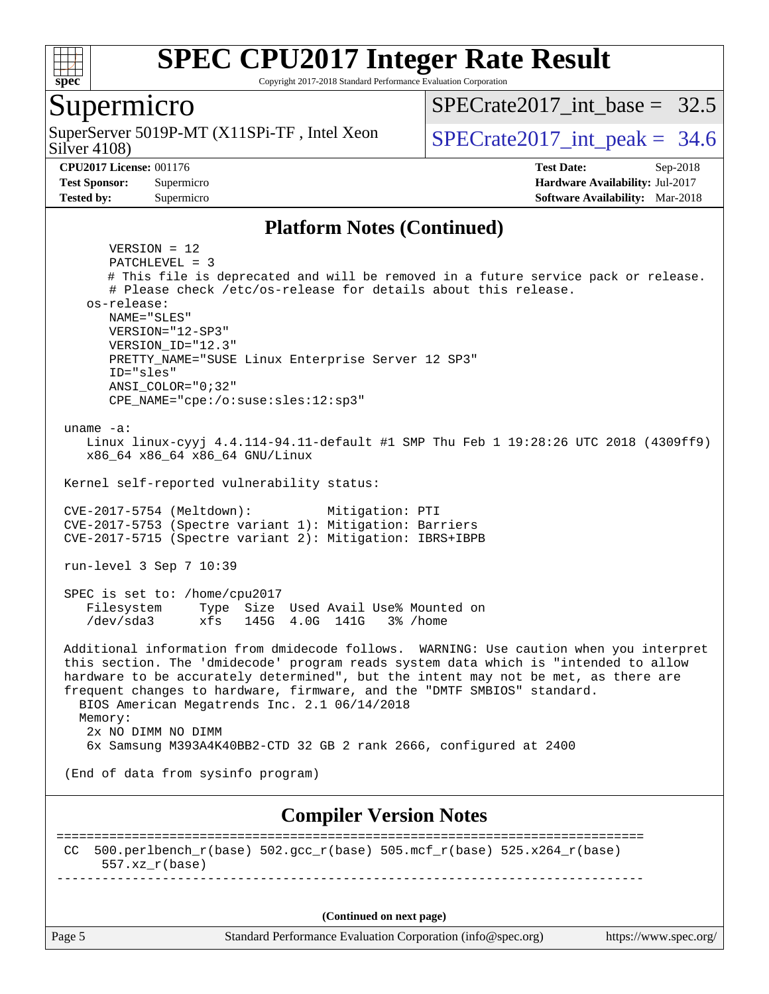

Copyright 2017-2018 Standard Performance Evaluation Corporation

### Supermicro

Silver 4108) SuperServer 5019P-MT (X11SPi-TF, Intel Xeon  $S^{2}$  SPECrate 2017 int peak = 34.6

SPECrate2017 int\_base =  $32.5$ 

**[Tested by:](http://www.spec.org/auto/cpu2017/Docs/result-fields.html#Testedby)** Supermicro **[Software Availability:](http://www.spec.org/auto/cpu2017/Docs/result-fields.html#SoftwareAvailability)** Mar-2018

**[CPU2017 License:](http://www.spec.org/auto/cpu2017/Docs/result-fields.html#CPU2017License)** 001176 **[Test Date:](http://www.spec.org/auto/cpu2017/Docs/result-fields.html#TestDate)** Sep-2018 **[Test Sponsor:](http://www.spec.org/auto/cpu2017/Docs/result-fields.html#TestSponsor)** Supermicro **[Hardware Availability:](http://www.spec.org/auto/cpu2017/Docs/result-fields.html#HardwareAvailability)** Jul-2017

#### **[Platform Notes \(Continued\)](http://www.spec.org/auto/cpu2017/Docs/result-fields.html#PlatformNotes)**

Page 5 Standard Performance Evaluation Corporation [\(info@spec.org\)](mailto:info@spec.org) <https://www.spec.org/> VERSION = 12 PATCHLEVEL = 3 # This file is deprecated and will be removed in a future service pack or release. # Please check /etc/os-release for details about this release. os-release: NAME="SLES" VERSION="12-SP3" VERSION\_ID="12.3" PRETTY\_NAME="SUSE Linux Enterprise Server 12 SP3" ID="sles" ANSI\_COLOR="0;32" CPE\_NAME="cpe:/o:suse:sles:12:sp3" uname -a: Linux linux-cyyj 4.4.114-94.11-default #1 SMP Thu Feb 1 19:28:26 UTC 2018 (4309ff9) x86\_64 x86\_64 x86\_64 GNU/Linux Kernel self-reported vulnerability status: CVE-2017-5754 (Meltdown): Mitigation: PTI CVE-2017-5753 (Spectre variant 1): Mitigation: Barriers CVE-2017-5715 (Spectre variant 2): Mitigation: IBRS+IBPB run-level 3 Sep 7 10:39 SPEC is set to: /home/cpu2017 Filesystem Type Size Used Avail Use% Mounted on /dev/sda3 xfs 145G 4.0G 141G 3% /home Additional information from dmidecode follows. WARNING: Use caution when you interpret this section. The 'dmidecode' program reads system data which is "intended to allow hardware to be accurately determined", but the intent may not be met, as there are frequent changes to hardware, firmware, and the "DMTF SMBIOS" standard. BIOS American Megatrends Inc. 2.1 06/14/2018 Memory: 2x NO DIMM NO DIMM 6x Samsung M393A4K40BB2-CTD 32 GB 2 rank 2666, configured at 2400 (End of data from sysinfo program) **[Compiler Version Notes](http://www.spec.org/auto/cpu2017/Docs/result-fields.html#CompilerVersionNotes)** ============================================================================== CC 500.perlbench\_r(base)  $502.\text{gcc}_r(\text{base})$  505.mcf\_r(base)  $525.x264_r(\text{base})$  557.xz\_r(base) ------------------------------------------------------------------------------ **(Continued on next page)**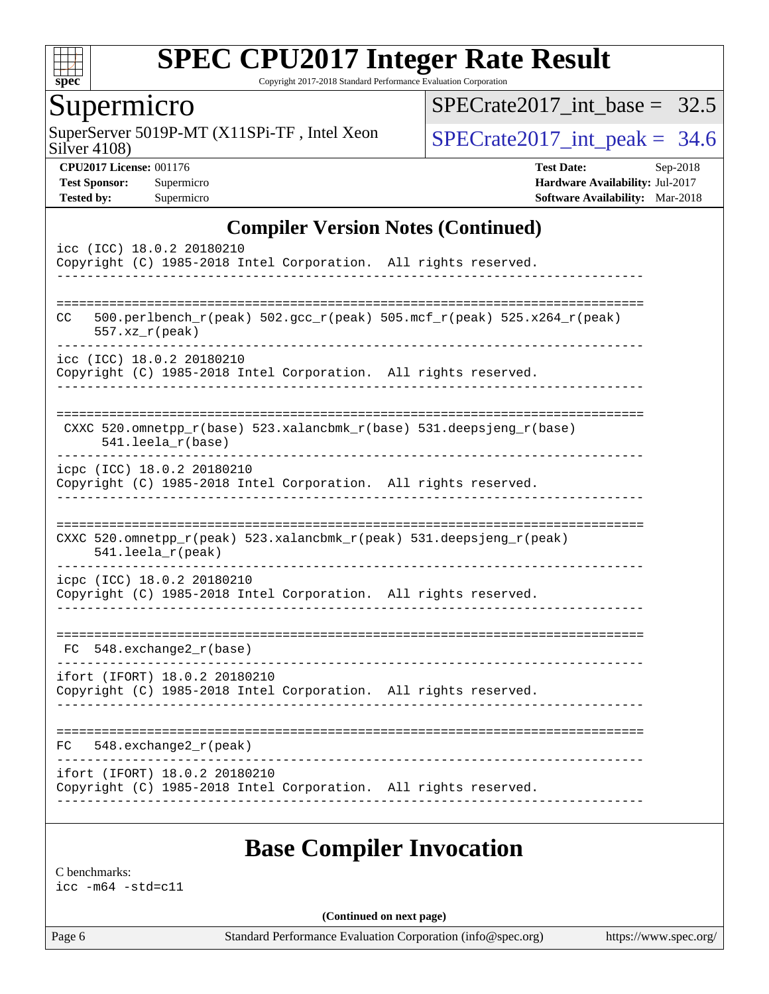

Copyright 2017-2018 Standard Performance Evaluation Corporation

## Supermicro

Silver 4108) SuperServer 5019P-MT (X11SPi-TF, Intel Xeon  $Solve(108)$   $SPECrate2017\_int\_peak = 34.6$ 

[SPECrate2017\\_int\\_base =](http://www.spec.org/auto/cpu2017/Docs/result-fields.html#SPECrate2017intbase) 32.5

**[CPU2017 License:](http://www.spec.org/auto/cpu2017/Docs/result-fields.html#CPU2017License)** 001176 **[Test Date:](http://www.spec.org/auto/cpu2017/Docs/result-fields.html#TestDate)** Sep-2018 **[Test Sponsor:](http://www.spec.org/auto/cpu2017/Docs/result-fields.html#TestSponsor)** Supermicro **[Hardware Availability:](http://www.spec.org/auto/cpu2017/Docs/result-fields.html#HardwareAvailability)** Jul-2017 **[Tested by:](http://www.spec.org/auto/cpu2017/Docs/result-fields.html#Testedby)** Supermicro **Supermicro [Software Availability:](http://www.spec.org/auto/cpu2017/Docs/result-fields.html#SoftwareAvailability)** Mar-2018

#### **[Compiler Version Notes \(Continued\)](http://www.spec.org/auto/cpu2017/Docs/result-fields.html#CompilerVersionNotes)**

| icc (ICC) 18.0.2 20180210     |  |                       |  |  |  |  | Copyright (C) 1985-2018 Intel Corporation. All rights reserved.        |  |  |  |
|-------------------------------|--|-----------------------|--|--|--|--|------------------------------------------------------------------------|--|--|--|
| <b>CC</b>                     |  | $557. xz_r (peak)$    |  |  |  |  | 500.perlbench_r(peak) 502.gcc_r(peak) 505.mcf_r(peak) 525.x264_r(peak) |  |  |  |
| icc (ICC) 18.0.2 20180210     |  |                       |  |  |  |  | Copyright (C) 1985-2018 Intel Corporation. All rights reserved.        |  |  |  |
|                               |  | $541.$ leela_r(base)  |  |  |  |  | CXXC 520.omnetpp_r(base) 523.xalancbmk_r(base) 531.deepsjeng_r(base)   |  |  |  |
| icpc (ICC) 18.0.2 20180210    |  |                       |  |  |  |  | Copyright (C) 1985-2018 Intel Corporation. All rights reserved.        |  |  |  |
|                               |  | 541.leela_r(peak)     |  |  |  |  | CXXC 520.omnetpp_r(peak) 523.xalancbmk_r(peak) 531.deepsjeng_r(peak)   |  |  |  |
| icpc (ICC) 18.0.2 20180210    |  |                       |  |  |  |  | Copyright (C) 1985-2018 Intel Corporation. All rights reserved.        |  |  |  |
| $FC 548. exchange2_r(base)$   |  |                       |  |  |  |  |                                                                        |  |  |  |
| ifort (IFORT) 18.0.2 20180210 |  |                       |  |  |  |  | Copyright (C) 1985-2018 Intel Corporation. All rights reserved.        |  |  |  |
| FC.                           |  | 548.exchange2_r(peak) |  |  |  |  |                                                                        |  |  |  |
| ifort (IFORT) 18.0.2 20180210 |  |                       |  |  |  |  | Copyright (C) 1985-2018 Intel Corporation. All rights reserved.        |  |  |  |
|                               |  |                       |  |  |  |  |                                                                        |  |  |  |

# **[Base Compiler Invocation](http://www.spec.org/auto/cpu2017/Docs/result-fields.html#BaseCompilerInvocation)**

[C benchmarks:](http://www.spec.org/auto/cpu2017/Docs/result-fields.html#Cbenchmarks) [icc -m64 -std=c11](http://www.spec.org/cpu2017/results/res2018q4/cpu2017-20181002-09032.flags.html#user_CCbase_intel_icc_64bit_c11_33ee0cdaae7deeeab2a9725423ba97205ce30f63b9926c2519791662299b76a0318f32ddfffdc46587804de3178b4f9328c46fa7c2b0cd779d7a61945c91cd35)

**(Continued on next page)**

Page 6 Standard Performance Evaluation Corporation [\(info@spec.org\)](mailto:info@spec.org) <https://www.spec.org/>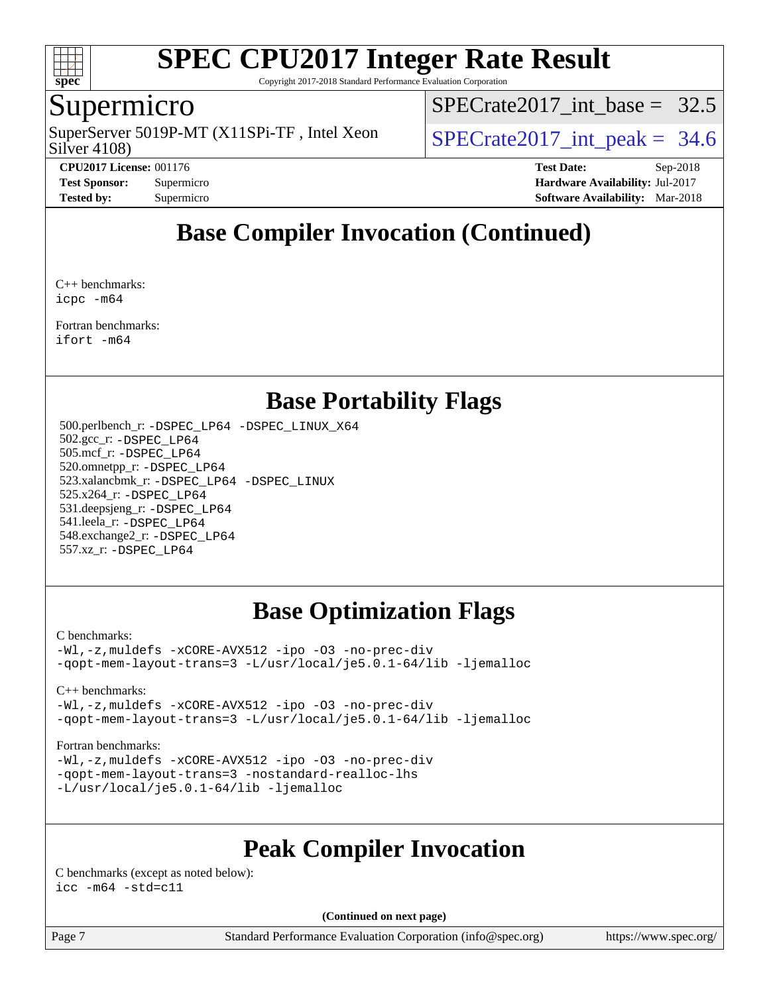

Copyright 2017-2018 Standard Performance Evaluation Corporation

### Supermicro

Silver 4108) SuperServer 5019P-MT (X11SPi-TF, Intel Xeon  $S^{2}$  SPECrate 2017 int peak = 34.6

SPECrate2017 int\_base =  $32.5$ 

**[CPU2017 License:](http://www.spec.org/auto/cpu2017/Docs/result-fields.html#CPU2017License)** 001176 **[Test Date:](http://www.spec.org/auto/cpu2017/Docs/result-fields.html#TestDate)** Sep-2018 **[Test Sponsor:](http://www.spec.org/auto/cpu2017/Docs/result-fields.html#TestSponsor)** Supermicro **[Hardware Availability:](http://www.spec.org/auto/cpu2017/Docs/result-fields.html#HardwareAvailability)** Jul-2017 **[Tested by:](http://www.spec.org/auto/cpu2017/Docs/result-fields.html#Testedby)** Supermicro **[Software Availability:](http://www.spec.org/auto/cpu2017/Docs/result-fields.html#SoftwareAvailability)** Mar-2018

# **[Base Compiler Invocation \(Continued\)](http://www.spec.org/auto/cpu2017/Docs/result-fields.html#BaseCompilerInvocation)**

[C++ benchmarks](http://www.spec.org/auto/cpu2017/Docs/result-fields.html#CXXbenchmarks): [icpc -m64](http://www.spec.org/cpu2017/results/res2018q4/cpu2017-20181002-09032.flags.html#user_CXXbase_intel_icpc_64bit_4ecb2543ae3f1412ef961e0650ca070fec7b7afdcd6ed48761b84423119d1bf6bdf5cad15b44d48e7256388bc77273b966e5eb805aefd121eb22e9299b2ec9d9)

[Fortran benchmarks](http://www.spec.org/auto/cpu2017/Docs/result-fields.html#Fortranbenchmarks): [ifort -m64](http://www.spec.org/cpu2017/results/res2018q4/cpu2017-20181002-09032.flags.html#user_FCbase_intel_ifort_64bit_24f2bb282fbaeffd6157abe4f878425411749daecae9a33200eee2bee2fe76f3b89351d69a8130dd5949958ce389cf37ff59a95e7a40d588e8d3a57e0c3fd751)

# **[Base Portability Flags](http://www.spec.org/auto/cpu2017/Docs/result-fields.html#BasePortabilityFlags)**

 500.perlbench\_r: [-DSPEC\\_LP64](http://www.spec.org/cpu2017/results/res2018q4/cpu2017-20181002-09032.flags.html#b500.perlbench_r_basePORTABILITY_DSPEC_LP64) [-DSPEC\\_LINUX\\_X64](http://www.spec.org/cpu2017/results/res2018q4/cpu2017-20181002-09032.flags.html#b500.perlbench_r_baseCPORTABILITY_DSPEC_LINUX_X64) 502.gcc\_r: [-DSPEC\\_LP64](http://www.spec.org/cpu2017/results/res2018q4/cpu2017-20181002-09032.flags.html#suite_basePORTABILITY502_gcc_r_DSPEC_LP64) 505.mcf\_r: [-DSPEC\\_LP64](http://www.spec.org/cpu2017/results/res2018q4/cpu2017-20181002-09032.flags.html#suite_basePORTABILITY505_mcf_r_DSPEC_LP64) 520.omnetpp\_r: [-DSPEC\\_LP64](http://www.spec.org/cpu2017/results/res2018q4/cpu2017-20181002-09032.flags.html#suite_basePORTABILITY520_omnetpp_r_DSPEC_LP64) 523.xalancbmk\_r: [-DSPEC\\_LP64](http://www.spec.org/cpu2017/results/res2018q4/cpu2017-20181002-09032.flags.html#suite_basePORTABILITY523_xalancbmk_r_DSPEC_LP64) [-DSPEC\\_LINUX](http://www.spec.org/cpu2017/results/res2018q4/cpu2017-20181002-09032.flags.html#b523.xalancbmk_r_baseCXXPORTABILITY_DSPEC_LINUX) 525.x264\_r: [-DSPEC\\_LP64](http://www.spec.org/cpu2017/results/res2018q4/cpu2017-20181002-09032.flags.html#suite_basePORTABILITY525_x264_r_DSPEC_LP64) 531.deepsjeng\_r: [-DSPEC\\_LP64](http://www.spec.org/cpu2017/results/res2018q4/cpu2017-20181002-09032.flags.html#suite_basePORTABILITY531_deepsjeng_r_DSPEC_LP64) 541.leela\_r: [-DSPEC\\_LP64](http://www.spec.org/cpu2017/results/res2018q4/cpu2017-20181002-09032.flags.html#suite_basePORTABILITY541_leela_r_DSPEC_LP64) 548.exchange2\_r: [-DSPEC\\_LP64](http://www.spec.org/cpu2017/results/res2018q4/cpu2017-20181002-09032.flags.html#suite_basePORTABILITY548_exchange2_r_DSPEC_LP64) 557.xz\_r: [-DSPEC\\_LP64](http://www.spec.org/cpu2017/results/res2018q4/cpu2017-20181002-09032.flags.html#suite_basePORTABILITY557_xz_r_DSPEC_LP64)

# **[Base Optimization Flags](http://www.spec.org/auto/cpu2017/Docs/result-fields.html#BaseOptimizationFlags)**

#### [C benchmarks](http://www.spec.org/auto/cpu2017/Docs/result-fields.html#Cbenchmarks):

[-Wl,-z,muldefs](http://www.spec.org/cpu2017/results/res2018q4/cpu2017-20181002-09032.flags.html#user_CCbase_link_force_multiple1_b4cbdb97b34bdee9ceefcfe54f4c8ea74255f0b02a4b23e853cdb0e18eb4525ac79b5a88067c842dd0ee6996c24547a27a4b99331201badda8798ef8a743f577) [-xCORE-AVX512](http://www.spec.org/cpu2017/results/res2018q4/cpu2017-20181002-09032.flags.html#user_CCbase_f-xCORE-AVX512) [-ipo](http://www.spec.org/cpu2017/results/res2018q4/cpu2017-20181002-09032.flags.html#user_CCbase_f-ipo) [-O3](http://www.spec.org/cpu2017/results/res2018q4/cpu2017-20181002-09032.flags.html#user_CCbase_f-O3) [-no-prec-div](http://www.spec.org/cpu2017/results/res2018q4/cpu2017-20181002-09032.flags.html#user_CCbase_f-no-prec-div) [-qopt-mem-layout-trans=3](http://www.spec.org/cpu2017/results/res2018q4/cpu2017-20181002-09032.flags.html#user_CCbase_f-qopt-mem-layout-trans_de80db37974c74b1f0e20d883f0b675c88c3b01e9d123adea9b28688d64333345fb62bc4a798493513fdb68f60282f9a726aa07f478b2f7113531aecce732043) [-L/usr/local/je5.0.1-64/lib](http://www.spec.org/cpu2017/results/res2018q4/cpu2017-20181002-09032.flags.html#user_CCbase_jemalloc_link_path64_4b10a636b7bce113509b17f3bd0d6226c5fb2346b9178c2d0232c14f04ab830f976640479e5c33dc2bcbbdad86ecfb6634cbbd4418746f06f368b512fced5394) [-ljemalloc](http://www.spec.org/cpu2017/results/res2018q4/cpu2017-20181002-09032.flags.html#user_CCbase_jemalloc_link_lib_d1249b907c500fa1c0672f44f562e3d0f79738ae9e3c4a9c376d49f265a04b9c99b167ecedbf6711b3085be911c67ff61f150a17b3472be731631ba4d0471706)

#### [C++ benchmarks:](http://www.spec.org/auto/cpu2017/Docs/result-fields.html#CXXbenchmarks)

[-Wl,-z,muldefs](http://www.spec.org/cpu2017/results/res2018q4/cpu2017-20181002-09032.flags.html#user_CXXbase_link_force_multiple1_b4cbdb97b34bdee9ceefcfe54f4c8ea74255f0b02a4b23e853cdb0e18eb4525ac79b5a88067c842dd0ee6996c24547a27a4b99331201badda8798ef8a743f577) [-xCORE-AVX512](http://www.spec.org/cpu2017/results/res2018q4/cpu2017-20181002-09032.flags.html#user_CXXbase_f-xCORE-AVX512) [-ipo](http://www.spec.org/cpu2017/results/res2018q4/cpu2017-20181002-09032.flags.html#user_CXXbase_f-ipo) [-O3](http://www.spec.org/cpu2017/results/res2018q4/cpu2017-20181002-09032.flags.html#user_CXXbase_f-O3) [-no-prec-div](http://www.spec.org/cpu2017/results/res2018q4/cpu2017-20181002-09032.flags.html#user_CXXbase_f-no-prec-div) [-qopt-mem-layout-trans=3](http://www.spec.org/cpu2017/results/res2018q4/cpu2017-20181002-09032.flags.html#user_CXXbase_f-qopt-mem-layout-trans_de80db37974c74b1f0e20d883f0b675c88c3b01e9d123adea9b28688d64333345fb62bc4a798493513fdb68f60282f9a726aa07f478b2f7113531aecce732043) [-L/usr/local/je5.0.1-64/lib](http://www.spec.org/cpu2017/results/res2018q4/cpu2017-20181002-09032.flags.html#user_CXXbase_jemalloc_link_path64_4b10a636b7bce113509b17f3bd0d6226c5fb2346b9178c2d0232c14f04ab830f976640479e5c33dc2bcbbdad86ecfb6634cbbd4418746f06f368b512fced5394) [-ljemalloc](http://www.spec.org/cpu2017/results/res2018q4/cpu2017-20181002-09032.flags.html#user_CXXbase_jemalloc_link_lib_d1249b907c500fa1c0672f44f562e3d0f79738ae9e3c4a9c376d49f265a04b9c99b167ecedbf6711b3085be911c67ff61f150a17b3472be731631ba4d0471706)

#### [Fortran benchmarks](http://www.spec.org/auto/cpu2017/Docs/result-fields.html#Fortranbenchmarks):

[-Wl,-z,muldefs](http://www.spec.org/cpu2017/results/res2018q4/cpu2017-20181002-09032.flags.html#user_FCbase_link_force_multiple1_b4cbdb97b34bdee9ceefcfe54f4c8ea74255f0b02a4b23e853cdb0e18eb4525ac79b5a88067c842dd0ee6996c24547a27a4b99331201badda8798ef8a743f577) [-xCORE-AVX512](http://www.spec.org/cpu2017/results/res2018q4/cpu2017-20181002-09032.flags.html#user_FCbase_f-xCORE-AVX512) [-ipo](http://www.spec.org/cpu2017/results/res2018q4/cpu2017-20181002-09032.flags.html#user_FCbase_f-ipo) [-O3](http://www.spec.org/cpu2017/results/res2018q4/cpu2017-20181002-09032.flags.html#user_FCbase_f-O3) [-no-prec-div](http://www.spec.org/cpu2017/results/res2018q4/cpu2017-20181002-09032.flags.html#user_FCbase_f-no-prec-div) [-qopt-mem-layout-trans=3](http://www.spec.org/cpu2017/results/res2018q4/cpu2017-20181002-09032.flags.html#user_FCbase_f-qopt-mem-layout-trans_de80db37974c74b1f0e20d883f0b675c88c3b01e9d123adea9b28688d64333345fb62bc4a798493513fdb68f60282f9a726aa07f478b2f7113531aecce732043) [-nostandard-realloc-lhs](http://www.spec.org/cpu2017/results/res2018q4/cpu2017-20181002-09032.flags.html#user_FCbase_f_2003_std_realloc_82b4557e90729c0f113870c07e44d33d6f5a304b4f63d4c15d2d0f1fab99f5daaed73bdb9275d9ae411527f28b936061aa8b9c8f2d63842963b95c9dd6426b8a) [-L/usr/local/je5.0.1-64/lib](http://www.spec.org/cpu2017/results/res2018q4/cpu2017-20181002-09032.flags.html#user_FCbase_jemalloc_link_path64_4b10a636b7bce113509b17f3bd0d6226c5fb2346b9178c2d0232c14f04ab830f976640479e5c33dc2bcbbdad86ecfb6634cbbd4418746f06f368b512fced5394) [-ljemalloc](http://www.spec.org/cpu2017/results/res2018q4/cpu2017-20181002-09032.flags.html#user_FCbase_jemalloc_link_lib_d1249b907c500fa1c0672f44f562e3d0f79738ae9e3c4a9c376d49f265a04b9c99b167ecedbf6711b3085be911c67ff61f150a17b3472be731631ba4d0471706)

# **[Peak Compiler Invocation](http://www.spec.org/auto/cpu2017/Docs/result-fields.html#PeakCompilerInvocation)**

[C benchmarks \(except as noted below\)](http://www.spec.org/auto/cpu2017/Docs/result-fields.html#Cbenchmarksexceptasnotedbelow):  $\text{icc}$  -m64 -std=c11

**(Continued on next page)**

Page 7 Standard Performance Evaluation Corporation [\(info@spec.org\)](mailto:info@spec.org) <https://www.spec.org/>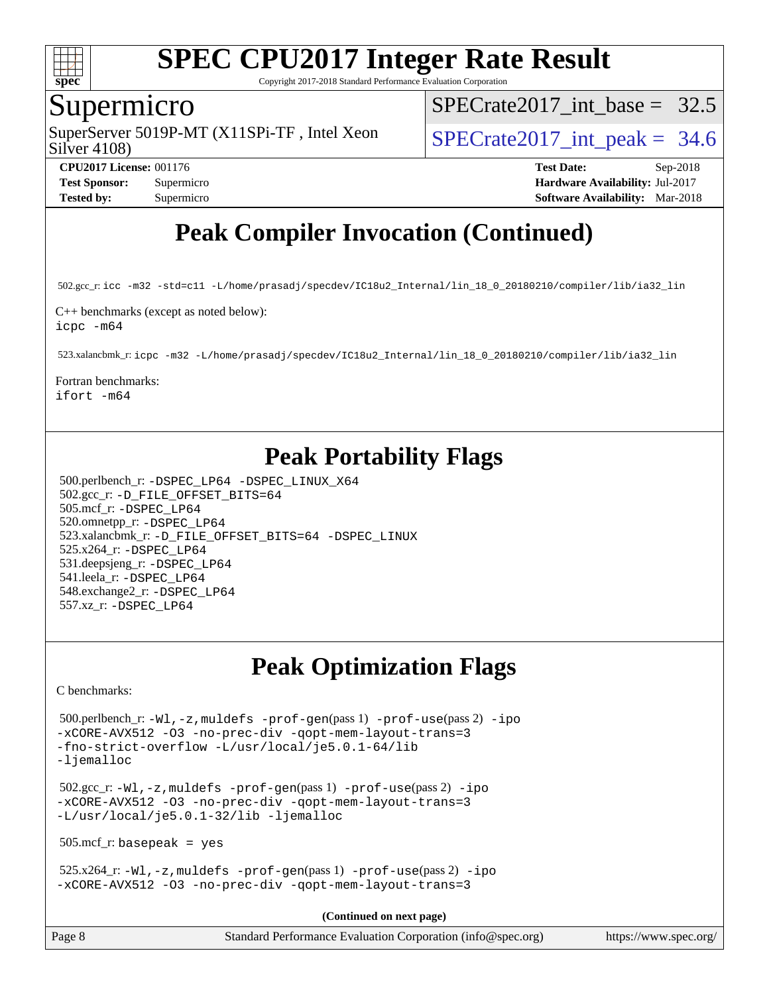

Copyright 2017-2018 Standard Performance Evaluation Corporation

### Supermicro

Silver 4108) SuperServer 5019P-MT (X11SPi-TF, Intel Xeon  $S^{2}$  SPECrate 2017 int peak = 34.6

SPECrate2017 int\_base =  $32.5$ 

**[CPU2017 License:](http://www.spec.org/auto/cpu2017/Docs/result-fields.html#CPU2017License)** 001176 **[Test Date:](http://www.spec.org/auto/cpu2017/Docs/result-fields.html#TestDate)** Sep-2018 **[Test Sponsor:](http://www.spec.org/auto/cpu2017/Docs/result-fields.html#TestSponsor)** Supermicro **[Hardware Availability:](http://www.spec.org/auto/cpu2017/Docs/result-fields.html#HardwareAvailability)** Jul-2017 **[Tested by:](http://www.spec.org/auto/cpu2017/Docs/result-fields.html#Testedby)** Supermicro **[Software Availability:](http://www.spec.org/auto/cpu2017/Docs/result-fields.html#SoftwareAvailability)** Mar-2018

# **[Peak Compiler Invocation \(Continued\)](http://www.spec.org/auto/cpu2017/Docs/result-fields.html#PeakCompilerInvocation)**

502.gcc\_r: [icc -m32 -std=c11 -L/home/prasadj/specdev/IC18u2\\_Internal/lin\\_18\\_0\\_20180210/compiler/lib/ia32\\_lin](http://www.spec.org/cpu2017/results/res2018q4/cpu2017-20181002-09032.flags.html#user_peakCCLD502_gcc_r_intel_icc_a481ac844e7127046fad14d498c730a1848fa901fbbb2c3dfdd5e9fbbac777c8009953946d55d8b6afe8ed0da70dd2b4f8dedbdf7ab1ee211ba70d24a5d89f85)

[C++ benchmarks \(except as noted below\)](http://www.spec.org/auto/cpu2017/Docs/result-fields.html#CXXbenchmarksexceptasnotedbelow): [icpc -m64](http://www.spec.org/cpu2017/results/res2018q4/cpu2017-20181002-09032.flags.html#user_CXXpeak_intel_icpc_64bit_4ecb2543ae3f1412ef961e0650ca070fec7b7afdcd6ed48761b84423119d1bf6bdf5cad15b44d48e7256388bc77273b966e5eb805aefd121eb22e9299b2ec9d9)

523.xalancbmk\_r: [icpc -m32 -L/home/prasadj/specdev/IC18u2\\_Internal/lin\\_18\\_0\\_20180210/compiler/lib/ia32\\_lin](http://www.spec.org/cpu2017/results/res2018q4/cpu2017-20181002-09032.flags.html#user_peakCXXLD523_xalancbmk_r_intel_icpc_c6d030cd79af6ea7d6fb64c57e8fe7ae8fe0b96fc5a3b3f4a10e3273b3d7fa9decd8263f6330cef23f751cb093a69fae84a2bf4c243500a8eed069248128076f)

[Fortran benchmarks](http://www.spec.org/auto/cpu2017/Docs/result-fields.html#Fortranbenchmarks):

[ifort -m64](http://www.spec.org/cpu2017/results/res2018q4/cpu2017-20181002-09032.flags.html#user_FCpeak_intel_ifort_64bit_24f2bb282fbaeffd6157abe4f878425411749daecae9a33200eee2bee2fe76f3b89351d69a8130dd5949958ce389cf37ff59a95e7a40d588e8d3a57e0c3fd751)

# **[Peak Portability Flags](http://www.spec.org/auto/cpu2017/Docs/result-fields.html#PeakPortabilityFlags)**

 500.perlbench\_r: [-DSPEC\\_LP64](http://www.spec.org/cpu2017/results/res2018q4/cpu2017-20181002-09032.flags.html#b500.perlbench_r_peakPORTABILITY_DSPEC_LP64) [-DSPEC\\_LINUX\\_X64](http://www.spec.org/cpu2017/results/res2018q4/cpu2017-20181002-09032.flags.html#b500.perlbench_r_peakCPORTABILITY_DSPEC_LINUX_X64) 502.gcc\_r: [-D\\_FILE\\_OFFSET\\_BITS=64](http://www.spec.org/cpu2017/results/res2018q4/cpu2017-20181002-09032.flags.html#user_peakPORTABILITY502_gcc_r_file_offset_bits_64_5ae949a99b284ddf4e95728d47cb0843d81b2eb0e18bdfe74bbf0f61d0b064f4bda2f10ea5eb90e1dcab0e84dbc592acfc5018bc955c18609f94ddb8d550002c) 505.mcf\_r: [-DSPEC\\_LP64](http://www.spec.org/cpu2017/results/res2018q4/cpu2017-20181002-09032.flags.html#suite_peakPORTABILITY505_mcf_r_DSPEC_LP64) 520.omnetpp\_r: [-DSPEC\\_LP64](http://www.spec.org/cpu2017/results/res2018q4/cpu2017-20181002-09032.flags.html#suite_peakPORTABILITY520_omnetpp_r_DSPEC_LP64) 523.xalancbmk\_r: [-D\\_FILE\\_OFFSET\\_BITS=64](http://www.spec.org/cpu2017/results/res2018q4/cpu2017-20181002-09032.flags.html#user_peakPORTABILITY523_xalancbmk_r_file_offset_bits_64_5ae949a99b284ddf4e95728d47cb0843d81b2eb0e18bdfe74bbf0f61d0b064f4bda2f10ea5eb90e1dcab0e84dbc592acfc5018bc955c18609f94ddb8d550002c) [-DSPEC\\_LINUX](http://www.spec.org/cpu2017/results/res2018q4/cpu2017-20181002-09032.flags.html#b523.xalancbmk_r_peakCXXPORTABILITY_DSPEC_LINUX) 525.x264\_r: [-DSPEC\\_LP64](http://www.spec.org/cpu2017/results/res2018q4/cpu2017-20181002-09032.flags.html#suite_peakPORTABILITY525_x264_r_DSPEC_LP64) 531.deepsjeng\_r: [-DSPEC\\_LP64](http://www.spec.org/cpu2017/results/res2018q4/cpu2017-20181002-09032.flags.html#suite_peakPORTABILITY531_deepsjeng_r_DSPEC_LP64) 541.leela\_r: [-DSPEC\\_LP64](http://www.spec.org/cpu2017/results/res2018q4/cpu2017-20181002-09032.flags.html#suite_peakPORTABILITY541_leela_r_DSPEC_LP64) 548.exchange2\_r: [-DSPEC\\_LP64](http://www.spec.org/cpu2017/results/res2018q4/cpu2017-20181002-09032.flags.html#suite_peakPORTABILITY548_exchange2_r_DSPEC_LP64) 557.xz\_r: [-DSPEC\\_LP64](http://www.spec.org/cpu2017/results/res2018q4/cpu2017-20181002-09032.flags.html#suite_peakPORTABILITY557_xz_r_DSPEC_LP64)

# **[Peak Optimization Flags](http://www.spec.org/auto/cpu2017/Docs/result-fields.html#PeakOptimizationFlags)**

[C benchmarks](http://www.spec.org/auto/cpu2017/Docs/result-fields.html#Cbenchmarks):

 500.perlbench\_r: [-Wl,-z,muldefs](http://www.spec.org/cpu2017/results/res2018q4/cpu2017-20181002-09032.flags.html#user_peakEXTRA_LDFLAGS500_perlbench_r_link_force_multiple1_b4cbdb97b34bdee9ceefcfe54f4c8ea74255f0b02a4b23e853cdb0e18eb4525ac79b5a88067c842dd0ee6996c24547a27a4b99331201badda8798ef8a743f577) [-prof-gen](http://www.spec.org/cpu2017/results/res2018q4/cpu2017-20181002-09032.flags.html#user_peakPASS1_CFLAGSPASS1_LDFLAGS500_perlbench_r_prof_gen_5aa4926d6013ddb2a31985c654b3eb18169fc0c6952a63635c234f711e6e63dd76e94ad52365559451ec499a2cdb89e4dc58ba4c67ef54ca681ffbe1461d6b36)(pass 1) [-prof-use](http://www.spec.org/cpu2017/results/res2018q4/cpu2017-20181002-09032.flags.html#user_peakPASS2_CFLAGSPASS2_LDFLAGS500_perlbench_r_prof_use_1a21ceae95f36a2b53c25747139a6c16ca95bd9def2a207b4f0849963b97e94f5260e30a0c64f4bb623698870e679ca08317ef8150905d41bd88c6f78df73f19)(pass 2) [-ipo](http://www.spec.org/cpu2017/results/res2018q4/cpu2017-20181002-09032.flags.html#user_peakPASS1_COPTIMIZEPASS2_COPTIMIZE500_perlbench_r_f-ipo) [-xCORE-AVX512](http://www.spec.org/cpu2017/results/res2018q4/cpu2017-20181002-09032.flags.html#user_peakPASS2_COPTIMIZE500_perlbench_r_f-xCORE-AVX512) [-O3](http://www.spec.org/cpu2017/results/res2018q4/cpu2017-20181002-09032.flags.html#user_peakPASS1_COPTIMIZEPASS2_COPTIMIZE500_perlbench_r_f-O3) [-no-prec-div](http://www.spec.org/cpu2017/results/res2018q4/cpu2017-20181002-09032.flags.html#user_peakPASS1_COPTIMIZEPASS2_COPTIMIZE500_perlbench_r_f-no-prec-div) [-qopt-mem-layout-trans=3](http://www.spec.org/cpu2017/results/res2018q4/cpu2017-20181002-09032.flags.html#user_peakPASS1_COPTIMIZEPASS2_COPTIMIZE500_perlbench_r_f-qopt-mem-layout-trans_de80db37974c74b1f0e20d883f0b675c88c3b01e9d123adea9b28688d64333345fb62bc4a798493513fdb68f60282f9a726aa07f478b2f7113531aecce732043) [-fno-strict-overflow](http://www.spec.org/cpu2017/results/res2018q4/cpu2017-20181002-09032.flags.html#user_peakEXTRA_OPTIMIZE500_perlbench_r_f-fno-strict-overflow) [-L/usr/local/je5.0.1-64/lib](http://www.spec.org/cpu2017/results/res2018q4/cpu2017-20181002-09032.flags.html#user_peakEXTRA_LIBS500_perlbench_r_jemalloc_link_path64_4b10a636b7bce113509b17f3bd0d6226c5fb2346b9178c2d0232c14f04ab830f976640479e5c33dc2bcbbdad86ecfb6634cbbd4418746f06f368b512fced5394) [-ljemalloc](http://www.spec.org/cpu2017/results/res2018q4/cpu2017-20181002-09032.flags.html#user_peakEXTRA_LIBS500_perlbench_r_jemalloc_link_lib_d1249b907c500fa1c0672f44f562e3d0f79738ae9e3c4a9c376d49f265a04b9c99b167ecedbf6711b3085be911c67ff61f150a17b3472be731631ba4d0471706)

 502.gcc\_r: [-Wl,-z,muldefs](http://www.spec.org/cpu2017/results/res2018q4/cpu2017-20181002-09032.flags.html#user_peakEXTRA_LDFLAGS502_gcc_r_link_force_multiple1_b4cbdb97b34bdee9ceefcfe54f4c8ea74255f0b02a4b23e853cdb0e18eb4525ac79b5a88067c842dd0ee6996c24547a27a4b99331201badda8798ef8a743f577) [-prof-gen](http://www.spec.org/cpu2017/results/res2018q4/cpu2017-20181002-09032.flags.html#user_peakPASS1_CFLAGSPASS1_LDFLAGS502_gcc_r_prof_gen_5aa4926d6013ddb2a31985c654b3eb18169fc0c6952a63635c234f711e6e63dd76e94ad52365559451ec499a2cdb89e4dc58ba4c67ef54ca681ffbe1461d6b36)(pass 1) [-prof-use](http://www.spec.org/cpu2017/results/res2018q4/cpu2017-20181002-09032.flags.html#user_peakPASS2_CFLAGSPASS2_LDFLAGS502_gcc_r_prof_use_1a21ceae95f36a2b53c25747139a6c16ca95bd9def2a207b4f0849963b97e94f5260e30a0c64f4bb623698870e679ca08317ef8150905d41bd88c6f78df73f19)(pass 2) [-ipo](http://www.spec.org/cpu2017/results/res2018q4/cpu2017-20181002-09032.flags.html#user_peakPASS1_COPTIMIZEPASS2_COPTIMIZE502_gcc_r_f-ipo) [-xCORE-AVX512](http://www.spec.org/cpu2017/results/res2018q4/cpu2017-20181002-09032.flags.html#user_peakPASS2_COPTIMIZE502_gcc_r_f-xCORE-AVX512) [-O3](http://www.spec.org/cpu2017/results/res2018q4/cpu2017-20181002-09032.flags.html#user_peakPASS1_COPTIMIZEPASS2_COPTIMIZE502_gcc_r_f-O3) [-no-prec-div](http://www.spec.org/cpu2017/results/res2018q4/cpu2017-20181002-09032.flags.html#user_peakPASS1_COPTIMIZEPASS2_COPTIMIZE502_gcc_r_f-no-prec-div) [-qopt-mem-layout-trans=3](http://www.spec.org/cpu2017/results/res2018q4/cpu2017-20181002-09032.flags.html#user_peakPASS1_COPTIMIZEPASS2_COPTIMIZE502_gcc_r_f-qopt-mem-layout-trans_de80db37974c74b1f0e20d883f0b675c88c3b01e9d123adea9b28688d64333345fb62bc4a798493513fdb68f60282f9a726aa07f478b2f7113531aecce732043) [-L/usr/local/je5.0.1-32/lib](http://www.spec.org/cpu2017/results/res2018q4/cpu2017-20181002-09032.flags.html#user_peakEXTRA_LIBS502_gcc_r_jemalloc_link_path32_e29f22e8e6c17053bbc6a0971f5a9c01a601a06bb1a59df2084b77a2fe0a2995b64fd4256feaeea39eeba3aae142e96e2b2b0a28974019c0c0c88139a84f900a) [-ljemalloc](http://www.spec.org/cpu2017/results/res2018q4/cpu2017-20181002-09032.flags.html#user_peakEXTRA_LIBS502_gcc_r_jemalloc_link_lib_d1249b907c500fa1c0672f44f562e3d0f79738ae9e3c4a9c376d49f265a04b9c99b167ecedbf6711b3085be911c67ff61f150a17b3472be731631ba4d0471706)

505.mcf\_r: basepeak = yes

 $525.x264_r: -Wl, -z$ , muldefs  $-prof-gen(pass 1)$  $-prof-gen(pass 1)$  [-prof-use](http://www.spec.org/cpu2017/results/res2018q4/cpu2017-20181002-09032.flags.html#user_peakPASS2_CFLAGSPASS2_LDFLAGS525_x264_r_prof_use_1a21ceae95f36a2b53c25747139a6c16ca95bd9def2a207b4f0849963b97e94f5260e30a0c64f4bb623698870e679ca08317ef8150905d41bd88c6f78df73f19)(pass 2) [-ipo](http://www.spec.org/cpu2017/results/res2018q4/cpu2017-20181002-09032.flags.html#user_peakPASS1_COPTIMIZEPASS2_COPTIMIZE525_x264_r_f-ipo) [-xCORE-AVX512](http://www.spec.org/cpu2017/results/res2018q4/cpu2017-20181002-09032.flags.html#user_peakPASS2_COPTIMIZE525_x264_r_f-xCORE-AVX512) [-O3](http://www.spec.org/cpu2017/results/res2018q4/cpu2017-20181002-09032.flags.html#user_peakPASS1_COPTIMIZEPASS2_COPTIMIZE525_x264_r_f-O3) [-no-prec-div](http://www.spec.org/cpu2017/results/res2018q4/cpu2017-20181002-09032.flags.html#user_peakPASS1_COPTIMIZEPASS2_COPTIMIZE525_x264_r_f-no-prec-div) [-qopt-mem-layout-trans=3](http://www.spec.org/cpu2017/results/res2018q4/cpu2017-20181002-09032.flags.html#user_peakPASS1_COPTIMIZEPASS2_COPTIMIZE525_x264_r_f-qopt-mem-layout-trans_de80db37974c74b1f0e20d883f0b675c88c3b01e9d123adea9b28688d64333345fb62bc4a798493513fdb68f60282f9a726aa07f478b2f7113531aecce732043)

**(Continued on next page)**